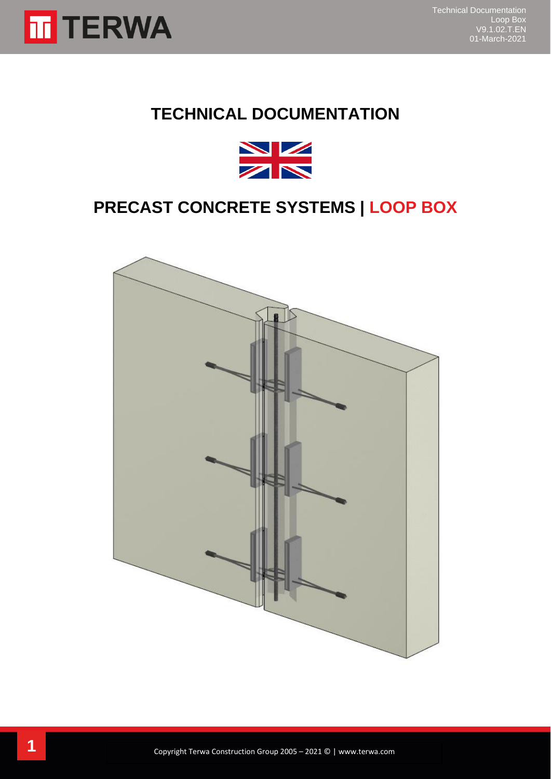

## **TECHNICAL DOCUMENTATION**



## **PRECAST CONCRETE SYSTEMS | LOOP BOX**

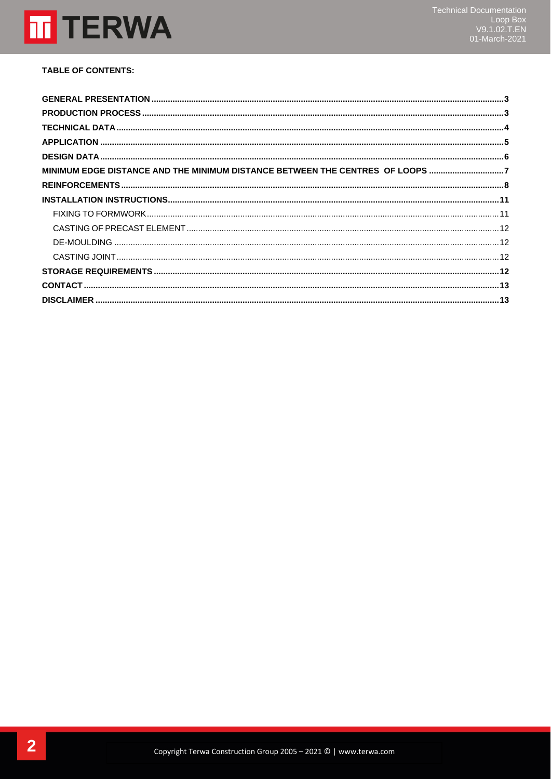

#### **TABLE OF CONTENTS:**

| MINIMUM EDGE DISTANCE AND THE MINIMUM DISTANCE BETWEEN THE CENTRES OF LOOPS 7 |  |
|-------------------------------------------------------------------------------|--|
|                                                                               |  |
|                                                                               |  |
|                                                                               |  |
|                                                                               |  |
|                                                                               |  |
|                                                                               |  |
|                                                                               |  |
|                                                                               |  |
|                                                                               |  |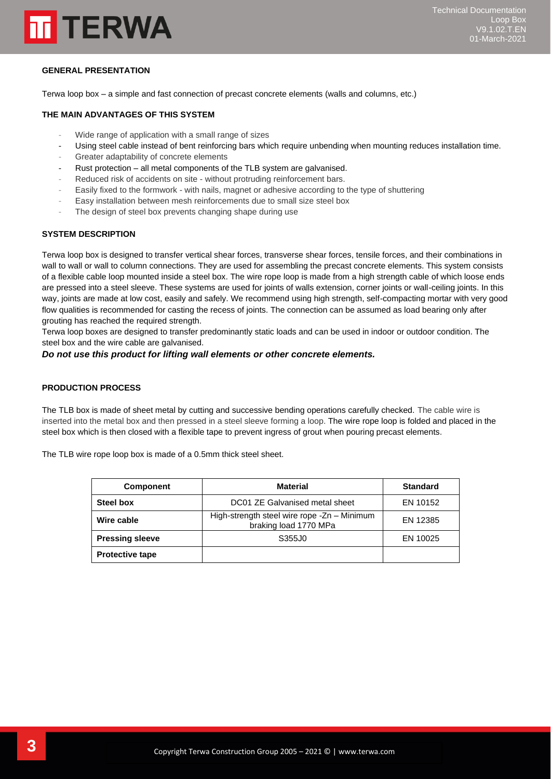

#### <span id="page-2-0"></span>**GENERAL PRESENTATION**

Terwa loop box – a simple and fast connection of precast concrete elements (walls and columns, etc.)

#### **THE MAIN ADVANTAGES OF THIS SYSTEM**

- Wide range of application with a small range of sizes
- Using steel cable instead of bent reinforcing bars which require unbending when mounting reduces installation time.
- Greater adaptability of concrete elements
- Rust protection all metal components of the TLB system are galvanised.
- Reduced risk of accidents on site without protruding reinforcement bars.
- Easily fixed to the formwork with nails, magnet or adhesive according to the type of shuttering
- Easy installation between mesh reinforcements due to small size steel box
- The design of steel box prevents changing shape during use

#### **SYSTEM DESCRIPTION**

Terwa loop box is designed to transfer vertical shear forces, transverse shear forces, tensile forces, and their combinations in wall to wall or wall to column connections. They are used for assembling the precast concrete elements. This system consists of a flexible cable loop mounted inside a steel box. The wire rope loop is made from a high strength cable of which loose ends are pressed into a steel sleeve. These systems are used for joints of walls extension, corner joints or wall-ceiling joints. In this way, joints are made at low cost, easily and safely. We recommend using high strength, self-compacting mortar with very good flow qualities is recommended for casting the recess of joints. The connection can be assumed as load bearing only after grouting has reached the required strength.

Terwa loop boxes are designed to transfer predominantly static loads and can be used in indoor or outdoor condition. The steel box and the wire cable are galvanised.

#### *Do not use this product for lifting wall elements or other concrete elements.*

#### <span id="page-2-1"></span>**PRODUCTION PROCESS**

The TLB box is made of sheet metal by cutting and successive bending operations carefully checked. The cable wire is inserted into the metal box and then pressed in a steel sleeve forming a loop. The wire rope loop is folded and placed in the steel box which is then closed with a flexible tape to prevent ingress of grout when pouring precast elements.

The TLB wire rope loop box is made of a 0.5mm thick steel sheet.

| <b>Component</b>       | <b>Material</b>                                                      | <b>Standard</b> |
|------------------------|----------------------------------------------------------------------|-----------------|
| Steel box              | DC01 ZE Galvanised metal sheet                                       | EN 10152        |
| Wire cable             | High-strength steel wire rope -Zn - Minimum<br>braking load 1770 MPa | EN 12385        |
| <b>Pressing sleeve</b> | S355J0                                                               | EN 10025        |
| <b>Protective tape</b> |                                                                      |                 |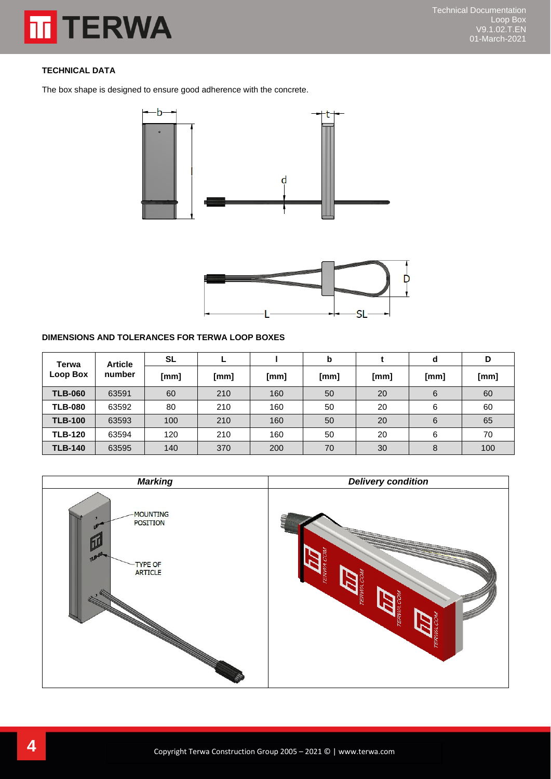## **TERWA** 而

### <span id="page-3-0"></span>**TECHNICAL DATA**

The box shape is designed to ensure good adherence with the concrete.





#### **DIMENSIONS AND TOLERANCES FOR TERWA LOOP BOXES**

| <b>Article</b><br>Terwa<br>Loop Box<br>number | <b>SL</b> |      |      | b    |      | d    | D    |     |
|-----------------------------------------------|-----------|------|------|------|------|------|------|-----|
|                                               | [mm]      | [mm] | [mm] | [mm] | [mm] | [mm] | [mm] |     |
| <b>TLB-060</b>                                | 63591     | 60   | 210  | 160  | 50   | 20   | 6    | 60  |
| <b>TLB-080</b>                                | 63592     | 80   | 210  | 160  | 50   | 20   | 6    | 60  |
| <b>TLB-100</b>                                | 63593     | 100  | 210  | 160  | 50   | 20   | 6    | 65  |
| <b>TLB-120</b>                                | 63594     | 120  | 210  | 160  | 50   | 20   | 6    | 70  |
| <b>TLB-140</b>                                | 63595     | 140  | 370  | 200  | 70   | 30   | 8    | 100 |

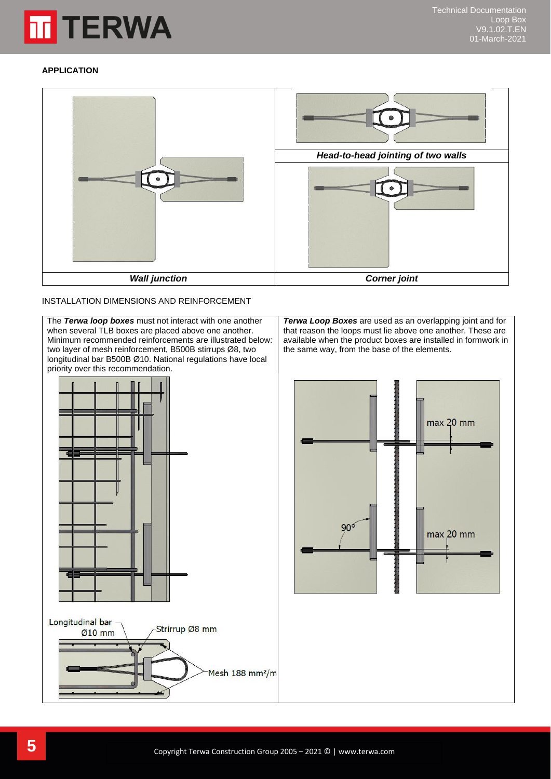

#### <span id="page-4-0"></span>**APPLICATION**



#### INSTALLATION DIMENSIONS AND REINFORCEMENT

The *Terwa loop boxes* must not interact with one another when several TLB boxes are placed above one another. Minimum recommended reinforcements are illustrated below: two layer of mesh reinforcement, B500B stirrups Ø8, two longitudinal bar B500B Ø10. National regulations have local priority over this recommendation.



*Terwa Loop Boxes* are used as an overlapping joint and for that reason the loops must lie above one another. These are available when the product boxes are installed in formwork in the same way, from the base of the elements.

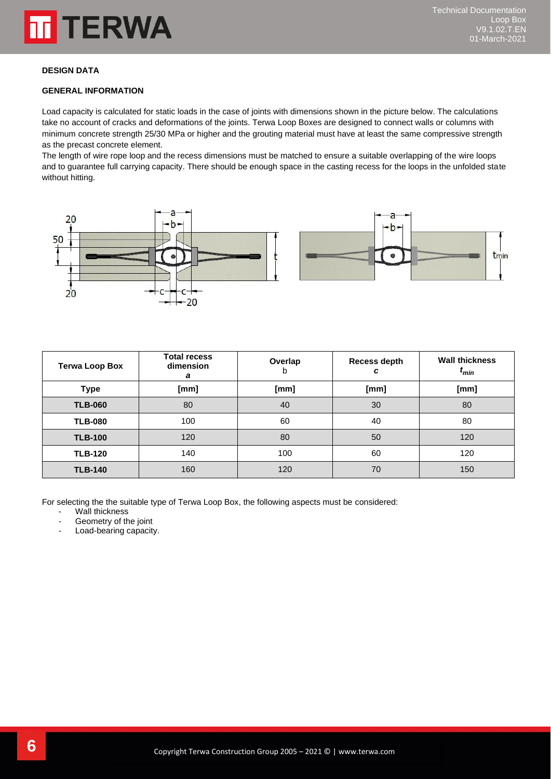

#### <span id="page-5-0"></span>**DESIGN DATA**

#### **GENERAL INFORMATION**

Load capacity is calculated for static loads in the case of joints with dimensions shown in the picture below. The calculations take no account of cracks and deformations of the joints. Terwa Loop Boxes are designed to connect walls or columns with minimum concrete strength 25/30 MPa or higher and the grouting material must have at least the same compressive strength as the precast concrete element.

The length of wire rope loop and the recess dimensions must be matched to ensure a suitable overlapping of the wire loops and to guarantee full carrying capacity. There should be enough space in the casting recess for the loops in the unfolded state without hitting.





| <b>Terwa Loop Box</b> | <b>Total recess</b><br>dimension<br>а | Overlap<br>b | Recess depth<br>c | <b>Wall thickness</b><br>$t_{min}$ |
|-----------------------|---------------------------------------|--------------|-------------------|------------------------------------|
| Type                  | [mm]                                  | [mm]         | [mm]              | [mm]                               |
| <b>TLB-060</b>        | 80                                    | 40           | 30                | 80                                 |
| <b>TLB-080</b>        | 100                                   | 60           | 40                | 80                                 |
| <b>TLB-100</b>        | 120                                   | 80           | 50                | 120                                |
| <b>TLB-120</b>        | 140                                   | 100          | 60                | 120                                |
| <b>TLB-140</b>        | 160                                   | 120          | 70                | 150                                |

For selecting the the suitable type of Terwa Loop Box, the following aspects must be considered:

- Wall thickness
- Geometry of the joint
- Load-bearing capacity.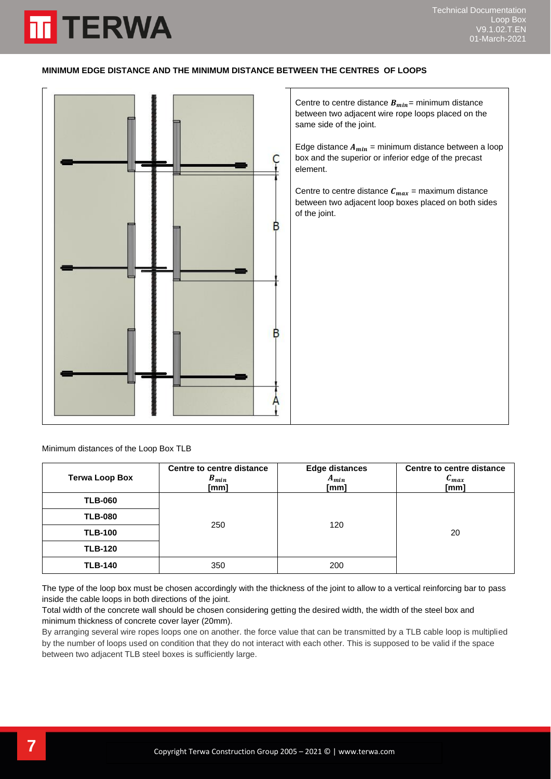#### <span id="page-6-0"></span>**MINIMUM EDGE DISTANCE AND THE MINIMUM DISTANCE BETWEEN THE CENTRES OF LOOPS**



Minimum distances of the Loop Box TLB

**TERWA** 

| <b>Terwa Loop Box</b> | Centre to centre distance<br>$B_{min}$<br>[mm] | <b>Edge distances</b><br>$A_{min}$<br>[mm] | Centre to centre distance<br>$c_{max}$<br>[mm] |
|-----------------------|------------------------------------------------|--------------------------------------------|------------------------------------------------|
| <b>TLB-060</b>        |                                                |                                            |                                                |
| <b>TLB-080</b>        |                                                |                                            |                                                |
| <b>TLB-100</b>        | 250                                            | 120                                        | 20                                             |
| <b>TLB-120</b>        |                                                |                                            |                                                |
| <b>TLB-140</b>        | 350                                            | 200                                        |                                                |

The type of the loop box must be chosen accordingly with the thickness of the joint to allow to a vertical reinforcing bar to pass inside the cable loops in both directions of the joint.

Total width of the concrete wall should be chosen considering getting the desired width, the width of the steel box and minimum thickness of concrete cover layer (20mm).

By arranging several wire ropes loops one on another. the force value that can be transmitted by a TLB cable loop is multiplied by the number of loops used on condition that they do not interact with each other. This is supposed to be valid if the space between two adjacent TLB steel boxes is sufficiently large.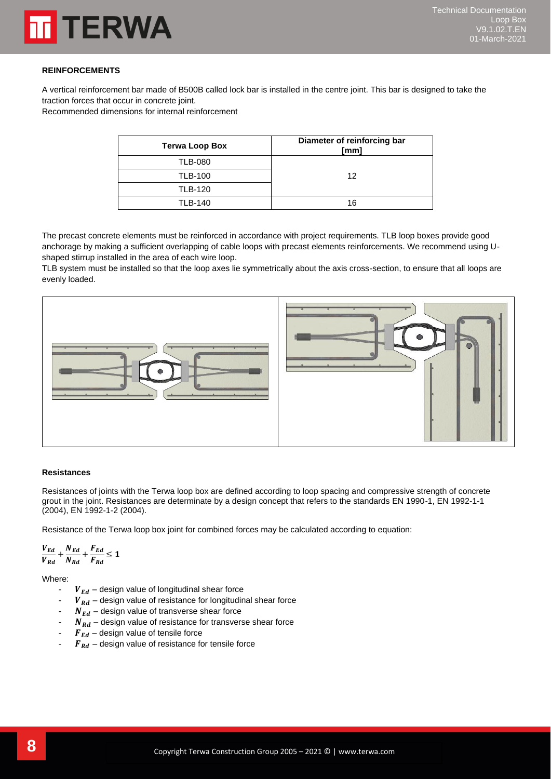

#### <span id="page-7-0"></span>**REINFORCEMENTS**

A vertical reinforcement bar made of B500B called lock bar is installed in the centre joint. This bar is designed to take the traction forces that occur in concrete joint.

Recommended dimensions for internal reinforcement

| <b>Terwa Loop Box</b> | Diameter of reinforcing bar<br>[mm] |
|-----------------------|-------------------------------------|
| <b>TLB-080</b>        |                                     |
| <b>TLB-100</b>        | 12                                  |
| <b>TLB-120</b>        |                                     |
| <b>TLB-140</b>        | 16                                  |

The precast concrete elements must be reinforced in accordance with project requirements. TLB loop boxes provide good anchorage by making a sufficient overlapping of cable loops with precast elements reinforcements. We recommend using Ushaped stirrup installed in the area of each wire loop.

TLB system must be installed so that the loop axes lie symmetrically about the axis cross-section, to ensure that all loops are evenly loaded.



#### **Resistances**

Resistances of joints with the Terwa loop box are defined according to loop spacing and compressive strength of concrete grout in the joint. Resistances are determinate by a design concept that refers to the standards EN 1990-1, EN 1992-1-1 (2004), EN 1992-1-2 (2004).

Resistance of the Terwa loop box joint for combined forces may be calculated according to equation:

$$
\frac{V_{Ed}}{V_{Rd}} + \frac{N_{Ed}}{N_{Rd}} + \frac{F_{Ed}}{F_{Rd}} \le 1
$$

Where:

- $V_{Ed}$  design value of longitudinal shear force
- $V_{Rd}$  design value of resistance for longitudinal shear force
- $N_{Ed}$  design value of transverse shear force
- $N_{Rd}$  design value of resistance for transverse shear force
- $\boldsymbol{F}_{Ed}$  design value of tensile force
- $\mathbf{F}_{\mathbf{R}\mathbf{d}}$  design value of resistance for tensile force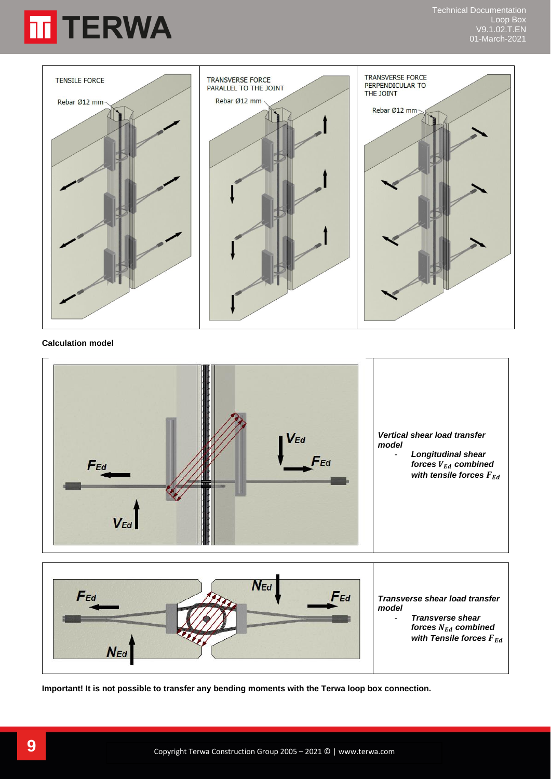



#### **Calculation model**





**Important! It is not possible to transfer any bending moments with the Terwa loop box connection.**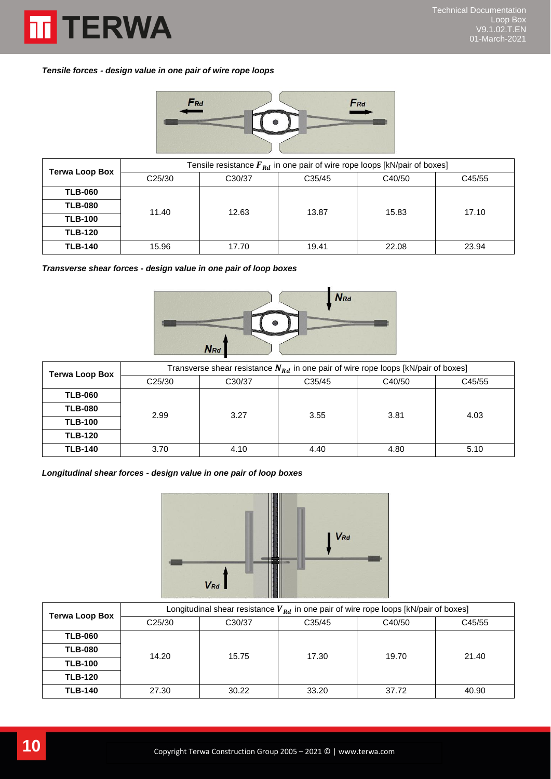

*Tensile forces - design value in one pair of wire rope loops*



| <b>Terwa Loop Box</b> | Tensile resistance $F_{Rd}$ in one pair of wire rope loops [kN/pair of boxes] |        |        |        |        |  |
|-----------------------|-------------------------------------------------------------------------------|--------|--------|--------|--------|--|
|                       | C <sub>25</sub> /30                                                           | C30/37 | C35/45 | C40/50 | C45/55 |  |
| <b>TLB-060</b>        | 11.40                                                                         |        |        |        |        |  |
| <b>TLB-080</b>        |                                                                               | 12.63  | 13.87  | 15.83  | 17.10  |  |
| <b>TLB-100</b>        |                                                                               |        |        |        |        |  |
| <b>TLB-120</b>        |                                                                               |        |        |        |        |  |
| <b>TLB-140</b>        | 15.96                                                                         | 17.70  | 19.41  | 22.08  | 23.94  |  |

*Transverse shear forces - design value in one pair of loop boxes*



| <b>Terwa Loop Box</b> | Transverse shear resistance $N_{Rd}$ in one pair of wire rope loops [kN/pair of boxes] |        |        |        |        |  |
|-----------------------|----------------------------------------------------------------------------------------|--------|--------|--------|--------|--|
|                       | C <sub>25</sub> /30                                                                    | C30/37 | C35/45 | C40/50 | C45/55 |  |
| <b>TLB-060</b>        | 2.99<br>3.27                                                                           |        |        |        |        |  |
| <b>TLB-080</b>        |                                                                                        |        | 3.55   | 3.81   | 4.03   |  |
| <b>TLB-100</b>        |                                                                                        |        |        |        |        |  |
| <b>TLB-120</b>        |                                                                                        |        |        |        |        |  |
| <b>TLB-140</b>        | 3.70                                                                                   | 4.10   | 4.40   | 4.80   | 5.10   |  |

*Longitudinal shear forces - design value in one pair of loop boxes*



| <b>Terwa Loop Box</b> | Longitudinal shear resistance $V_{Rd}$ in one pair of wire rope loops [kN/pair of boxes] |        |        |        |        |  |
|-----------------------|------------------------------------------------------------------------------------------|--------|--------|--------|--------|--|
|                       | C <sub>25</sub> /30                                                                      | C30/37 | C35/45 | C40/50 | C45/55 |  |
| <b>TLB-060</b>        | 14.20                                                                                    |        |        |        |        |  |
| <b>TLB-080</b>        |                                                                                          | 15.75  | 17.30  | 19.70  | 21.40  |  |
| <b>TLB-100</b>        |                                                                                          |        |        |        |        |  |
| <b>TLB-120</b>        |                                                                                          |        |        |        |        |  |
| <b>TLB-140</b>        | 27.30                                                                                    | 30.22  | 33.20  | 37.72  | 40.90  |  |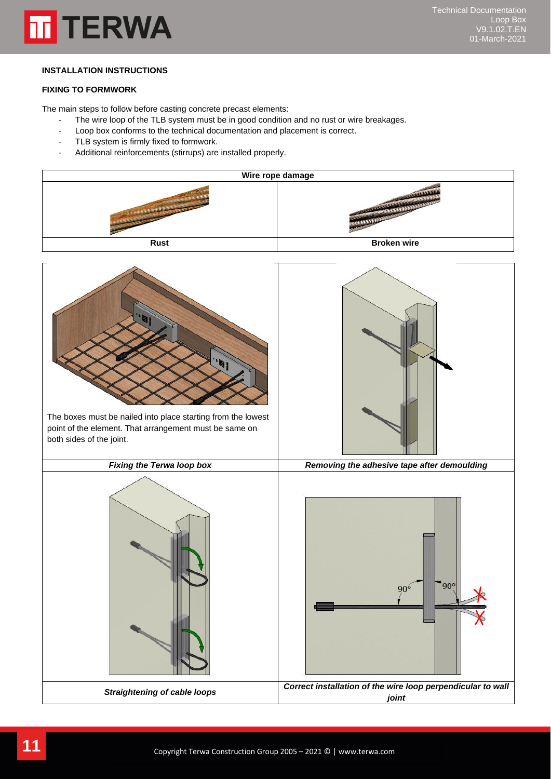

#### <span id="page-10-0"></span>**INSTALLATION INSTRUCTIONS**

#### <span id="page-10-1"></span>**FIXING TO FORMWORK**

The main steps to follow before casting concrete precast elements:

- The wire loop of the TLB system must be in good condition and no rust or wire breakages.
- Loop box conforms to the technical documentation and placement is correct.
- TLB system is firmly fixed to formwork.
- Additional reinforcements (stirrups) are installed properly.

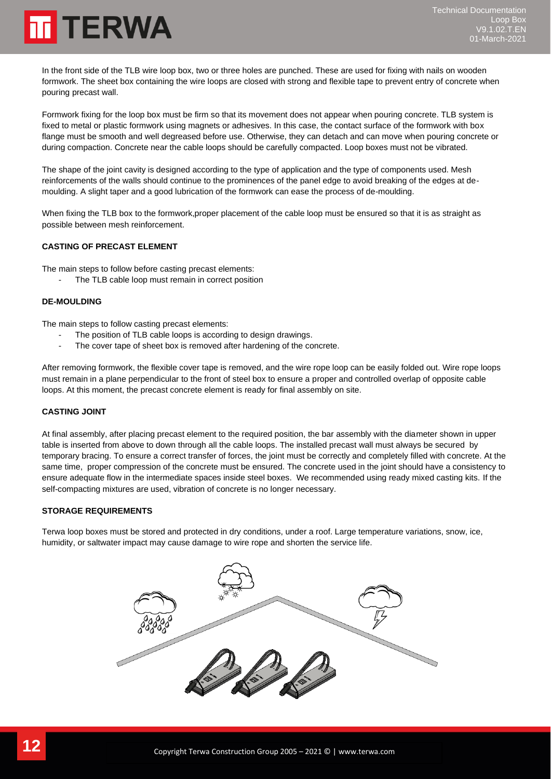# **TERWA**

In the front side of the TLB wire loop box, two or three holes are punched. These are used for fixing with nails on wooden formwork. The sheet box containing the wire loops are closed with strong and flexible tape to prevent entry of concrete when pouring precast wall.

Formwork fixing for the loop box must be firm so that its movement does not appear when pouring concrete. TLB system is fixed to metal or plastic formwork using magnets or adhesives. In this case, the contact surface of the formwork with box flange must be smooth and well degreased before use. Otherwise, they can detach and can move when pouring concrete or during compaction. Concrete near the cable loops should be carefully compacted. Loop boxes must not be vibrated.

The shape of the joint cavity is designed according to the type of application and the type of components used. Mesh reinforcements of the walls should continue to the prominences of the panel edge to avoid breaking of the edges at demoulding. A slight taper and a good lubrication of the formwork can ease the process of de-moulding.

When fixing the TLB box to the formwork,proper placement of the cable loop must be ensured so that it is as straight as possible between mesh reinforcement.

#### <span id="page-11-0"></span>**CASTING OF PRECAST ELEMENT**

The main steps to follow before casting precast elements:

The TLB cable loop must remain in correct position

#### <span id="page-11-1"></span>**DE-MOULDING**

The main steps to follow casting precast elements:

- The position of TLB cable loops is according to design drawings.
- The cover tape of sheet box is removed after hardening of the concrete.

After removing formwork, the flexible cover tape is removed, and the wire rope loop can be easily folded out. Wire rope loops must remain in a plane perpendicular to the front of steel box to ensure a proper and controlled overlap of opposite cable loops. At this moment, the precast concrete element is ready for final assembly on site.

#### <span id="page-11-2"></span>**CASTING JOINT**

At final assembly, after placing precast element to the required position, the bar assembly with the diameter shown in upper table is inserted from above to down through all the cable loops. The installed precast wall must always be secured by temporary bracing. To ensure a correct transfer of forces, the joint must be correctly and completely filled with concrete. At the same time, proper compression of the concrete must be ensured. The concrete used in the joint should have a consistency to ensure adequate flow in the intermediate spaces inside steel boxes. We recommended using ready mixed casting kits. If the self-compacting mixtures are used, vibration of concrete is no longer necessary.

#### <span id="page-11-3"></span>**STORAGE REQUIREMENTS**

Terwa loop boxes must be stored and protected in dry conditions, under a roof. Large temperature variations, snow, ice, humidity, or saltwater impact may cause damage to wire rope and shorten the service life.